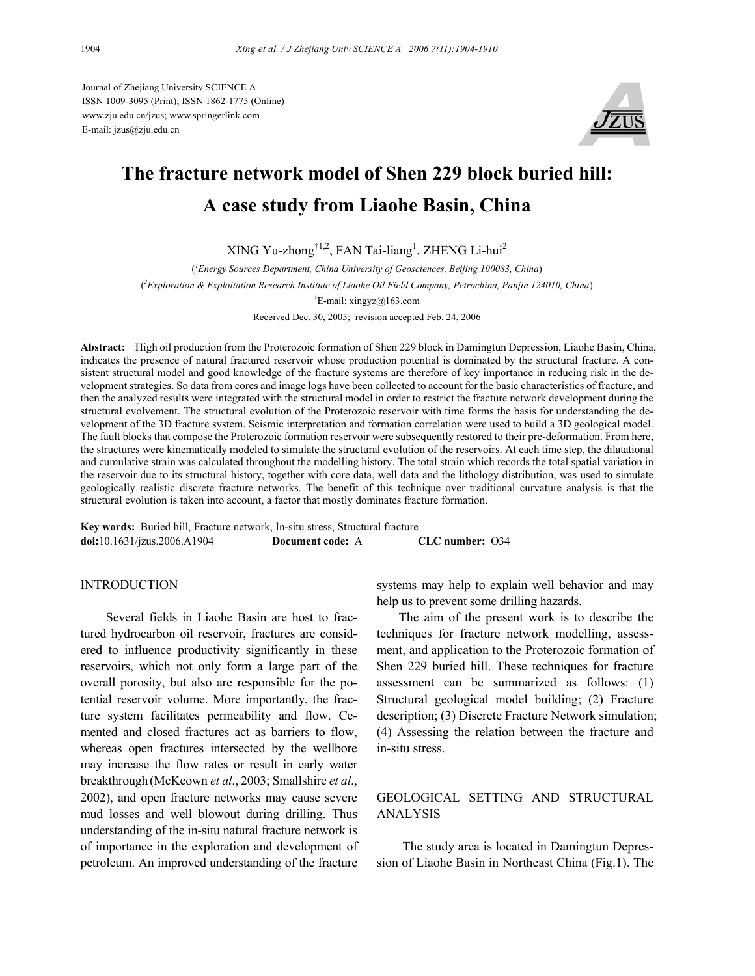Journal of Zhejiang University SCIENCE A ISSN 1009-3095 (Print); ISSN 1862-1775 (Online) www.zju.edu.cn/jzus; www.springerlink.com E-mail: jzus@zju.edu.cn



# **The fracture network model of Shen 229 block buried hill: A case study from Liaohe Basin, China**

 $XING Yu-zhong^{\dagger1,2}$ , FAN Tai-liang<sup>1</sup>, ZHENG Li-hui<sup>2</sup>

( *1 Energy Sources Department, China University of Geosciences, Beijing 100083, China*) ( *2 Exploration & Exploitation Research Institute of Liaohe Oil Field Company, Petrochina, Panjin 124010, China*) <sup>†</sup>E-mail: xingyz@163.com

Received Dec. 30, 2005; revision accepted Feb. 24, 2006

**Abstract:** High oil production from the Proterozoic formation of Shen 229 block in Damingtun Depression, Liaohe Basin, China, indicates the presence of natural fractured reservoir whose production potential is dominated by the structural fracture. A consistent structural model and good knowledge of the fracture systems are therefore of key importance in reducing risk in the development strategies. So data from cores and image logs have been collected to account for the basic characteristics of fracture, and then the analyzed results were integrated with the structural model in order to restrict the fracture network development during the structural evolvement. The structural evolution of the Proterozoic reservoir with time forms the basis for understanding the development of the 3D fracture system. Seismic interpretation and formation correlation were used to build a 3D geological model. The fault blocks that compose the Proterozoic formation reservoir were subsequently restored to their pre-deformation. From here, the structures were kinematically modeled to simulate the structural evolution of the reservoirs. At each time step, the dilatational and cumulative strain was calculated throughout the modelling history. The total strain which records the total spatial variation in the reservoir due to its structural history, together with core data, well data and the lithology distribution, was used to simulate geologically realistic discrete fracture networks. The benefit of this technique over traditional curvature analysis is that the structural evolution is taken into account, a factor that mostly dominates fracture formation.

**Key words:** Buried hill, Fracture network, In-situ stress, Structural fracture **doi:**10.1631/jzus.2006.A1904 **Document code:** A **CLC number:** O34

## INTRODUCTION

Several fields in Liaohe Basin are host to fractured hydrocarbon oil reservoir, fractures are considered to influence productivity significantly in these reservoirs, which not only form a large part of the overall porosity, but also are responsible for the potential reservoir volume. More importantly, the fracture system facilitates permeability and flow. Cemented and closed fractures act as barriers to flow, whereas open fractures intersected by the wellbore may increase the flow rates or result in early water breakthrough (McKeown *et al*., 2003; Smallshire *et al*., 2002), and open fracture networks may cause severe mud losses and well blowout during drilling. Thus understanding of the in-situ natural fracture network is of importance in the exploration and development of petroleum. An improved understanding of the fracture systems may help to explain well behavior and may help us to prevent some drilling hazards.

The aim of the present work is to describe the techniques for fracture network modelling, assessment, and application to the Proterozoic formation of Shen 229 buried hill. These techniques for fracture assessment can be summarized as follows: (1) Structural geological model building; (2) Fracture description; (3) Discrete Fracture Network simulation; (4) Assessing the relation between the fracture and in-situ stress.

# GEOLOGICAL SETTING AND STRUCTURAL ANALYSIS

The study area is located in Damingtun Depression of Liaohe Basin in Northeast China (Fig.1). The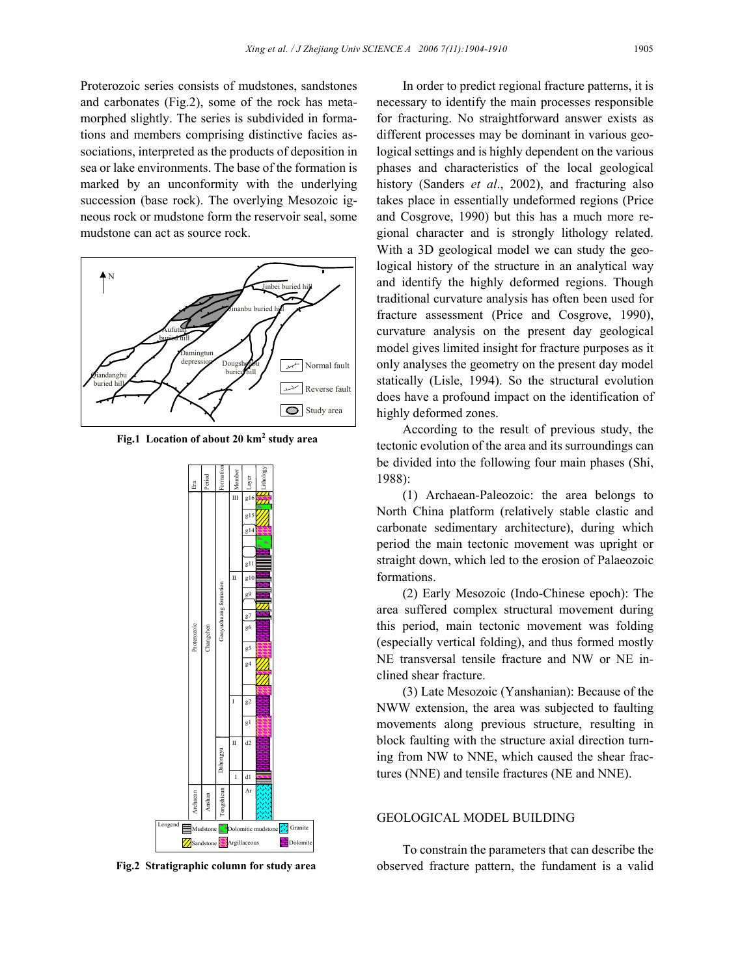Proterozoic series consists of mudstones, sandstones and carbonates (Fig.2), some of the rock has metamorphed slightly. The series is subdivided in formations and members comprising distinctive facies associations, interpreted as the products of deposition in sea or lake environments. The base of the formation is marked by an unconformity with the underlying succession (base rock). The overlying Mesozoic igneous rock or mudstone form the reservoir seal, some mudstone can act as source rock.



**Fig.1 Location of about 20 km<sup>2</sup> study area** 



**Fig.2 Stratigraphic column for study area** 

In order to predict regional fracture patterns, it is necessary to identify the main processes responsible for fracturing. No straightforward answer exists as different processes may be dominant in various geological settings and is highly dependent on the various phases and characteristics of the local geological history (Sanders *et al*., 2002), and fracturing also takes place in essentially undeformed regions (Price and Cosgrove, 1990) but this has a much more regional character and is strongly lithology related. With a 3D geological model we can study the geological history of the structure in an analytical way and identify the highly deformed regions. Though traditional curvature analysis has often been used for fracture assessment (Price and Cosgrove, 1990), curvature analysis on the present day geological model gives limited insight for fracture purposes as it only analyses the geometry on the present day model statically (Lisle, 1994). So the structural evolution does have a profound impact on the identification of highly deformed zones.

According to the result of previous study, the tectonic evolution of the area and its surroundings can be divided into the following four main phases (Shi, 1988):

(1) Archaean-Paleozoic: the area belongs to North China platform (relatively stable clastic and carbonate sedimentary architecture), during which period the main tectonic movement was upright or straight down, which led to the erosion of Palaeozoic formations.

(2) Early Mesozoic (Indo-Chinese epoch): The area suffered complex structural movement during this period, main tectonic movement was folding (especially vertical folding), and thus formed mostly NE transversal tensile fracture and NW or NE inclined shear fracture.

(3) Late Mesozoic (Yanshanian): Because of the NWW extension, the area was subjected to faulting movements along previous structure, resulting in block faulting with the structure axial direction turning from NW to NNE, which caused the shear fractures (NNE) and tensile fractures (NE and NNE).

## GEOLOGICAL MODEL BUILDING

To constrain the parameters that can describe the observed fracture pattern, the fundament is a valid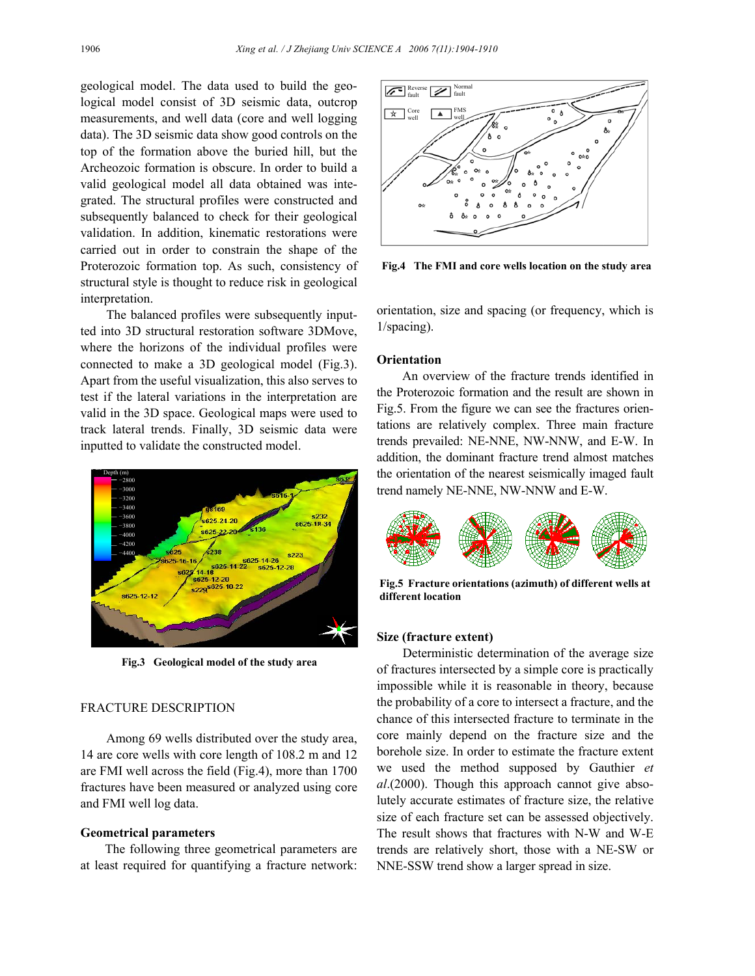geological model. The data used to build the geological model consist of 3D seismic data, outcrop measurements, and well data (core and well logging data). The 3D seismic data show good controls on the top of the formation above the buried hill, but the Archeozoic formation is obscure. In order to build a valid geological model all data obtained was integrated. The structural profiles were constructed and subsequently balanced to check for their geological validation. In addition, kinematic restorations were carried out in order to constrain the shape of the Proterozoic formation top. As such, consistency of structural style is thought to reduce risk in geological interpretation.

The balanced profiles were subsequently inputted into 3D structural restoration software 3DMove, where the horizons of the individual profiles were connected to make a 3D geological model (Fig.3). Apart from the useful visualization, this also serves to test if the lateral variations in the interpretation are valid in the 3D space. Geological maps were used to track lateral trends. Finally, 3D seismic data were inputted to validate the constructed model.



**Fig.3 Geological model of the study area** 

## FRACTURE DESCRIPTION

Among 69 wells distributed over the study area, 14 are core wells with core length of 108.2 m and 12 are FMI well across the field (Fig.4), more than 1700 fractures have been measured or analyzed using core and FMI well log data.

## **Geometrical parameters**

The following three geometrical parameters are at least required for quantifying a fracture network:



**Fig.4 The FMI and core wells location on the study area** 

orientation, size and spacing (or frequency, which is 1/spacing).

#### **Orientation**

An overview of the fracture trends identified in the Proterozoic formation and the result are shown in Fig.5. From the figure we can see the fractures orientations are relatively complex. Three main fracture trends prevailed: NE-NNE, NW-NNW, and E-W. In addition, the dominant fracture trend almost matches the orientation of the nearest seismically imaged fault trend namely NE-NNE, NW-NNW and E-W.



**Fig.5 Fracture orientations (azimuth) of different wells at different location** 

## **Size (fracture extent)**

Deterministic determination of the average size of fractures intersected by a simple core is practically impossible while it is reasonable in theory, because the probability of a core to intersect a fracture, and the chance of this intersected fracture to terminate in the core mainly depend on the fracture size and the borehole size. In order to estimate the fracture extent we used the method supposed by Gauthier *et al*.(2000). Though this approach cannot give absolutely accurate estimates of fracture size, the relative size of each fracture set can be assessed objectively. The result shows that fractures with N-W and W-E trends are relatively short, those with a NE-SW or NNE-SSW trend show a larger spread in size.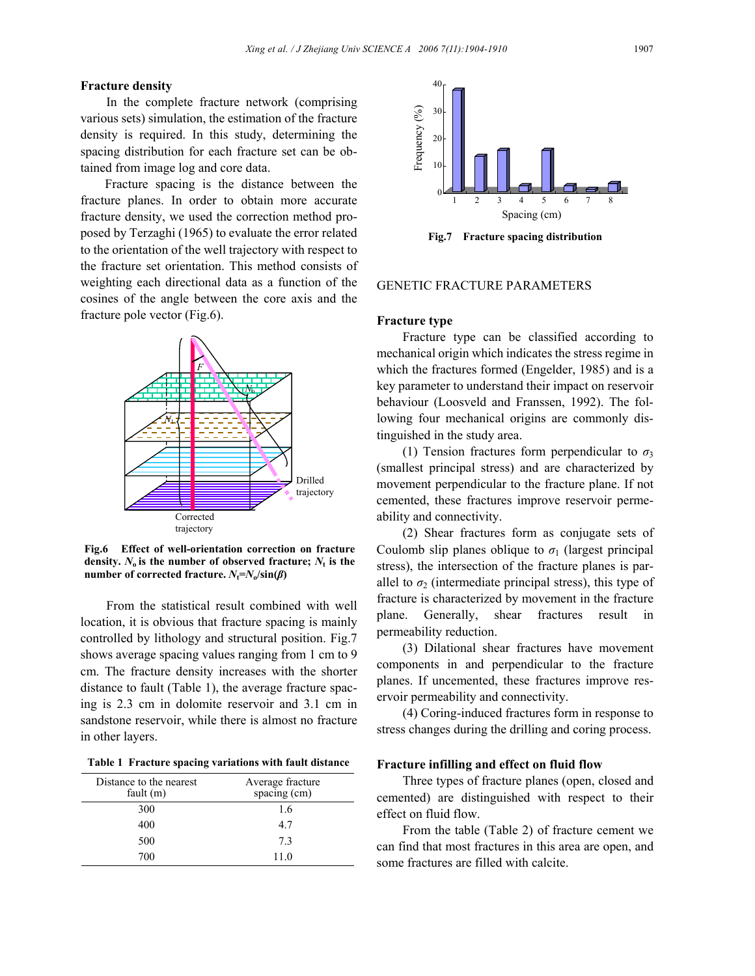#### **Fracture density**

In the complete fracture network (comprising various sets) simulation, the estimation of the fracture density is required. In this study, determining the spacing distribution for each fracture set can be obtained from image log and core data.

Fracture spacing is the distance between the fracture planes. In order to obtain more accurate fracture density, we used the correction method proposed by Terzaghi (1965) to evaluate the error related to the orientation of the well trajectory with respect to the fracture set orientation. This method consists of weighting each directional data as a function of the cosines of the angle between the core axis and the fracture pole vector (Fig.6).



**Fig.6 Effect of well-orientation correction on fracture density.**  $N_0$  is the number of observed fracture;  $N_t$  is the **number of corrected fracture.**  $N_f = N_o / \sin(\beta)$ 

From the statistical result combined with well location, it is obvious that fracture spacing is mainly controlled by lithology and structural position. Fig.7 shows average spacing values ranging from 1 cm to 9 cm. The fracture density increases with the shorter distance to fault (Table 1), the average fracture spacing is 2.3 cm in dolomite reservoir and 3.1 cm in sandstone reservoir, while there is almost no fracture in other layers.

**Table 1 Fracture spacing variations with fault distance** 

| Distance to the nearest<br>fault $(m)$ | Average fracture<br>spacing (cm) |  |  |
|----------------------------------------|----------------------------------|--|--|
| 300                                    | 1.6                              |  |  |
| 400                                    | 4.7                              |  |  |
| 500                                    | 73                               |  |  |
| 700                                    | 11 0                             |  |  |



**Fig.7 Fracture spacing distribution** 

# GENETIC FRACTURE PARAMETERS

#### **Fracture type**

Fracture type can be classified according to mechanical origin which indicates the stress regime in which the fractures formed (Engelder, 1985) and is a key parameter to understand their impact on reservoir behaviour (Loosveld and Franssen, 1992). The following four mechanical origins are commonly distinguished in the study area.

(1) Tension fractures form perpendicular to  $\sigma_3$ (smallest principal stress) and are characterized by movement perpendicular to the fracture plane. If not cemented, these fractures improve reservoir permeability and connectivity.

(2) Shear fractures form as conjugate sets of Coulomb slip planes oblique to  $\sigma_1$  (largest principal stress), the intersection of the fracture planes is parallel to  $\sigma_2$  (intermediate principal stress), this type of fracture is characterized by movement in the fracture plane. Generally, shear fractures result in permeability reduction.

(3) Dilational shear fractures have movement components in and perpendicular to the fracture planes. If uncemented, these fractures improve reservoir permeability and connectivity.

(4) Coring-induced fractures form in response to stress changes during the drilling and coring process.

## **Fracture infilling and effect on fluid flow**

Three types of fracture planes (open, closed and cemented) are distinguished with respect to their effect on fluid flow.

From the table (Table 2) of fracture cement we can find that most fractures in this area are open, and some fractures are filled with calcite.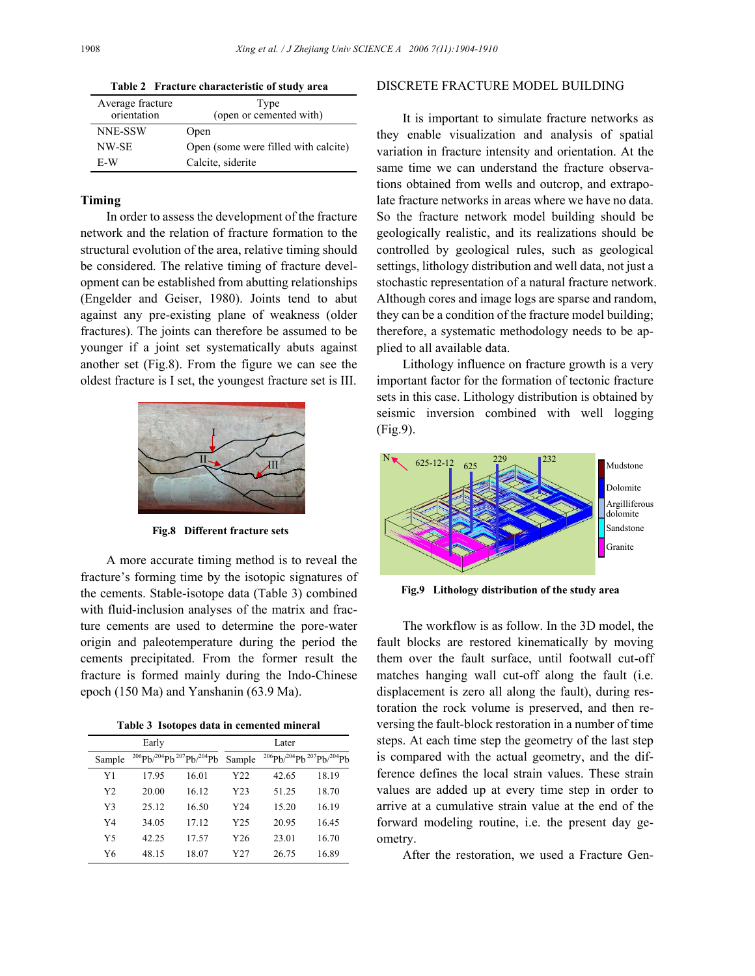| Average fracture<br>orientation | Type<br>(open or cemented with)      |  |  |
|---------------------------------|--------------------------------------|--|--|
| NNE-SSW                         | Open                                 |  |  |
| NW-SE                           | Open (some were filled with calcite) |  |  |
| E-W                             | Calcite, siderite                    |  |  |

**Table 2 Fracture characteristic of study area** 

## **Timing**

In order to assess the development of the fracture network and the relation of fracture formation to the structural evolution of the area, relative timing should be considered. The relative timing of fracture development can be established from abutting relationships (Engelder and Geiser, 1980). Joints tend to abut against any pre-existing plane of weakness (older fractures). The joints can therefore be assumed to be younger if a joint set systematically abuts against another set (Fig.8). From the figure we can see the oldest fracture is I set, the youngest fracture set is III.



**Fig.8 Different fracture sets** 

A more accurate timing method is to reveal the fracture's forming time by the isotopic signatures of the cements. Stable-isotope data (Table 3) combined with fluid-inclusion analyses of the matrix and fracture cements are used to determine the pore-water origin and paleotemperature during the period the cements precipitated. From the former result the fracture is formed mainly during the Indo-Chinese epoch (150 Ma) and Yanshanin (63.9 Ma).

**Table 3 Isotopes data in cemented mineral** 

|        | Early                                   |       |                 | Later                                 |       |
|--------|-----------------------------------------|-------|-----------------|---------------------------------------|-------|
| Sample | $^{206}Pb/^{204}Pb$ $^{207}Pb/^{204}Pb$ |       | Sample          | $^{206}Ph/^{204}Ph~^{207}Ph/^{204}Ph$ |       |
| Y1     | 17.95                                   | 16.01 | Y22             | 42.65                                 | 18.19 |
| Y2     | 20.00                                   | 16.12 | Y23             | 51.25                                 | 18.70 |
| Y3     | 25.12                                   | 16.50 | Y24             | 15.20                                 | 16.19 |
| Y4     | 34.05                                   | 17.12 | Y25             | 20.95                                 | 16.45 |
| $Y_5$  | 42.25                                   | 17.57 | Y <sub>26</sub> | 23.01                                 | 16.70 |
| Υ6     | 48.15                                   | 18.07 | Y27             | 26.75                                 | 16.89 |

### DISCRETE FRACTURE MODEL BUILDING

It is important to simulate fracture networks as they enable visualization and analysis of spatial variation in fracture intensity and orientation. At the same time we can understand the fracture observations obtained from wells and outcrop, and extrapolate fracture networks in areas where we have no data. So the fracture network model building should be geologically realistic, and its realizations should be controlled by geological rules, such as geological settings, lithology distribution and well data, not just a stochastic representation of a natural fracture network. Although cores and image logs are sparse and random, they can be a condition of the fracture model building; therefore, a systematic methodology needs to be applied to all available data.

Lithology influence on fracture growth is a very important factor for the formation of tectonic fracture sets in this case. Lithology distribution is obtained by seismic inversion combined with well logging (Fig.9).



**Fig.9 Lithology distribution of the study area** 

The workflow is as follow. In the 3D model, the fault blocks are restored kinematically by moving them over the fault surface, until footwall cut-off matches hanging wall cut-off along the fault (i.e. displacement is zero all along the fault), during restoration the rock volume is preserved, and then reversing the fault-block restoration in a number of time steps. At each time step the geometry of the last step is compared with the actual geometry, and the difference defines the local strain values. These strain values are added up at every time step in order to arrive at a cumulative strain value at the end of the forward modeling routine, i.e. the present day geometry.

After the restoration, we used a Fracture Gen-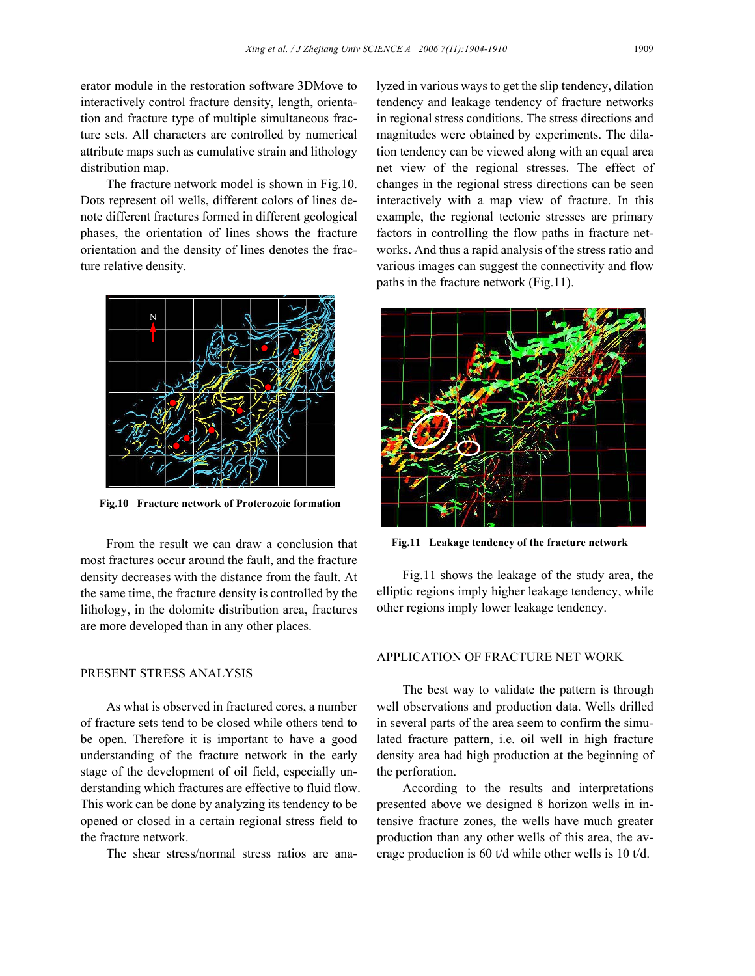erator module in the restoration software 3DMove to interactively control fracture density, length, orientation and fracture type of multiple simultaneous fracture sets. All characters are controlled by numerical attribute maps such as cumulative strain and lithology distribution map.

The fracture network model is shown in Fig.10. Dots represent oil wells, different colors of lines denote different fractures formed in different geological phases, the orientation of lines shows the fracture orientation and the density of lines denotes the fracture relative density.



**Fig.10 Fracture network of Proterozoic formation** 

From the result we can draw a conclusion that most fractures occur around the fault, and the fracture density decreases with the distance from the fault. At the same time, the fracture density is controlled by the lithology, in the dolomite distribution area, fractures are more developed than in any other places.

# PRESENT STRESS ANALYSIS

As what is observed in fractured cores, a number of fracture sets tend to be closed while others tend to be open. Therefore it is important to have a good understanding of the fracture network in the early stage of the development of oil field, especially understanding which fractures are effective to fluid flow. This work can be done by analyzing its tendency to be opened or closed in a certain regional stress field to the fracture network.

The shear stress/normal stress ratios are ana-

lyzed in various ways to get the slip tendency, dilation tendency and leakage tendency of fracture networks in regional stress conditions. The stress directions and magnitudes were obtained by experiments. The dilation tendency can be viewed along with an equal area net view of the regional stresses. The effect of changes in the regional stress directions can be seen interactively with a map view of fracture. In this example, the regional tectonic stresses are primary factors in controlling the flow paths in fracture networks. And thus a rapid analysis of the stress ratio and various images can suggest the connectivity and flow paths in the fracture network (Fig.11).



**Fig.11 Leakage tendency of the fracture network**

Fig.11 shows the leakage of the study area, the elliptic regions imply higher leakage tendency, while other regions imply lower leakage tendency.

# APPLICATION OF FRACTURE NET WORK

The best way to validate the pattern is through well observations and production data. Wells drilled in several parts of the area seem to confirm the simulated fracture pattern, i.e. oil well in high fracture density area had high production at the beginning of the perforation.

According to the results and interpretations presented above we designed 8 horizon wells in intensive fracture zones, the wells have much greater production than any other wells of this area, the average production is 60 t/d while other wells is 10 t/d.